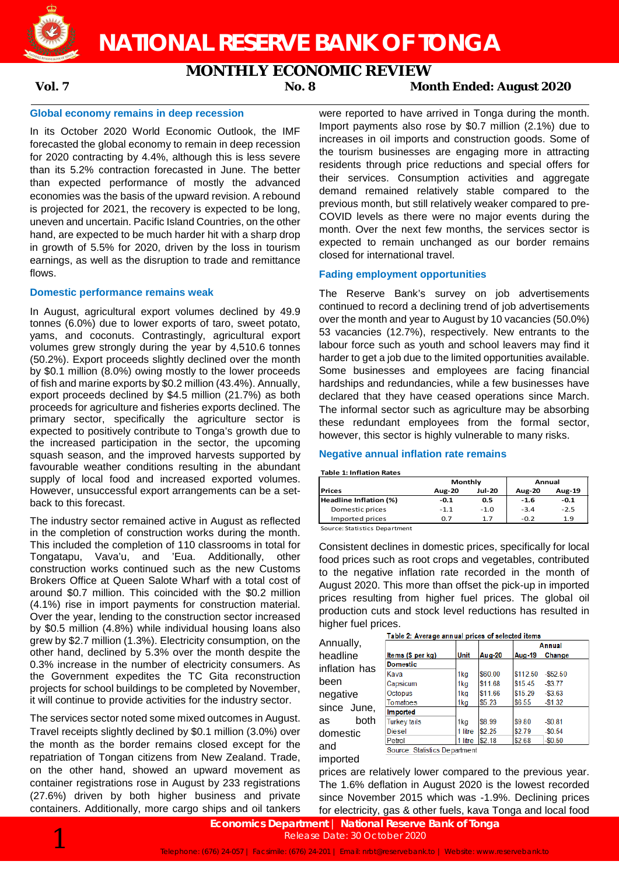

**NATIONAL RESERVE BANK OF TONGA**

# **MONTHLY ECONOMIC REVIEW**

**Vol. 7 No. 8 Month Ended: August 2020**

### **Global economy remains in deep recession**

In its October 2020 World Economic Outlook, the IMF forecasted the global economy to remain in deep recession for 2020 contracting by 4.4%, although this is less severe than its 5.2% contraction forecasted in June. The better than expected performance of mostly the advanced economies was the basis of the upward revision. A rebound is projected for 2021, the recovery is expected to be long, uneven and uncertain. Pacific Island Countries, on the other hand, are expected to be much harder hit with a sharp drop in growth of 5.5% for 2020, driven by the loss in tourism earnings, as well as the disruption to trade and remittance flows.

### **Domestic performance remains weak**

In August, agricultural export volumes declined by 49.9 tonnes (6.0%) due to lower exports of taro, sweet potato, yams, and coconuts. Contrastingly, agricultural export volumes grew strongly during the year by 4,510.6 tonnes (50.2%). Export proceeds slightly declined over the month by \$0.1 million (8.0%) owing mostly to the lower proceeds of fish and marine exports by \$0.2 million (43.4%). Annually, export proceeds declined by \$4.5 million (21.7%) as both proceeds for agriculture and fisheries exports declined. The primary sector, specifically the agriculture sector is expected to positively contribute to Tonga's growth due to the increased participation in the sector, the upcoming squash season, and the improved harvests supported by favourable weather conditions resulting in the abundant supply of local food and increased exported volumes. However, unsuccessful export arrangements can be a setback to this forecast.

The industry sector remained active in August as reflected in the completion of construction works during the month. This included the completion of 110 classrooms in total for Tongatapu, Vava'u, and 'Eua. Additionally, other construction works continued such as the new Customs Brokers Office at Queen Salote Wharf with a total cost of around \$0.7 million. This coincided with the \$0.2 million (4.1%) rise in import payments for construction material. Over the year, lending to the construction sector increased by \$0.5 million (4.8%) while individual housing loans also grew by \$2.7 million (1.3%). Electricity consumption, on the other hand, declined by 5.3% over the month despite the 0.3% increase in the number of electricity consumers. As the Government expedites the TC Gita reconstruction projects for school buildings to be completed by November, it will continue to provide activities for the industry sector.

The services sector noted some mixed outcomes in August. Travel receipts slightly declined by \$0.1 million (3.0%) over the month as the border remains closed except for the repatriation of Tongan citizens from New Zealand. Trade, on the other hand, showed an upward movement as container registrations rose in August by 233 registrations (27.6%) driven by both higher business and private containers. Additionally, more cargo ships and oil tankers were reported to have arrived in Tonga during the month. Import payments also rose by \$0.7 million (2.1%) due to increases in oil imports and construction goods. Some of the tourism businesses are engaging more in attracting residents through price reductions and special offers for their services. Consumption activities and aggregate demand remained relatively stable compared to the previous month, but still relatively weaker compared to pre-COVID levels as there were no major events during the month. Over the next few months, the services sector is expected to remain unchanged as our border remains closed for international travel.

### **Fading employment opportunities**

The Reserve Bank's survey on job advertisements continued to record a declining trend of job advertisements over the month and year to August by 10 vacancies (50.0%) 53 vacancies (12.7%), respectively. New entrants to the labour force such as youth and school leavers may find it harder to get a job due to the limited opportunities available. Some businesses and employees are facing financial hardships and redundancies, while a few businesses have declared that they have ceased operations since March. The informal sector such as agriculture may be absorbing these redundant employees from the formal sector, however, this sector is highly vulnerable to many risks.

### **Negative annual inflation rate remains**

**Table 1: Inflation Rates**

**Prices Aug-20 Jul-20 Aug-20 Aug-19 Headline Inflation (%) -0.1 0.5 -1.6 -0.1 Domestic prices -1.1 -1.0 -3.4 -2.5** Domestic prices Imported prices 0.7 1.7 -0.2 1.9 **Monthly Annual**

Source: Statistics Department

Consistent declines in domestic prices, specifically for local food prices such as root crops and vegetables, contributed to the negative inflation rate recorded in the month of August 2020. This more than offset the pick-up in imported prices resulting from higher fuel prices. The global oil production cuts and stock level reductions has resulted in higher fuel prices.

| Table 2: Average annual prices of selected items |                               |             |               |               |            |  |  |  |
|--------------------------------------------------|-------------------------------|-------------|---------------|---------------|------------|--|--|--|
| Annually,                                        |                               |             |               |               | Annual     |  |  |  |
| headline                                         | Items $(\sin per kg)$         | <b>Unit</b> | <b>Aug-20</b> | <b>Aug-19</b> | Change     |  |  |  |
| inflation has                                    | <b>Domestic</b>               |             |               |               |            |  |  |  |
|                                                  | Kava                          | 1kg         | \$60.00       | \$112.50      | $-$52.50$  |  |  |  |
| been                                             | Capsicum                      | 1kg         | \$11.68       | \$15.45       | $-$ \$3.77 |  |  |  |
| negative                                         | Octopus                       | 1kg         | \$11.66       | \$15.29       | $-$ \$3.63 |  |  |  |
|                                                  | <b>Tomatoes</b>               | 1kg         | \$5.23        | \$6.55        | $-$1.32$   |  |  |  |
| since June,                                      | Imported                      |             |               |               |            |  |  |  |
| both<br>as                                       | <b>Turkey tails</b>           | 1kg         | \$8.99        | \$9.80        | $-$0.81$   |  |  |  |
| domestic                                         | <b>Diesel</b>                 | 1 litre     | \$2.25        | \$2.79        | $-$0.54$   |  |  |  |
|                                                  | Petrol                        | 1 litre     | \$2.18        | \$2.68        | $-$0.50$   |  |  |  |
| and                                              | Source: Statistics Department |             |               |               |            |  |  |  |

 $\overline{a}$ imported

prices are relatively lower compared to the previous year. The 1.6% deflation in August 2020 is the lowest recorded since November 2015 which was -1.9%. Declining prices for electricity, gas & other fuels, kava Tonga and local food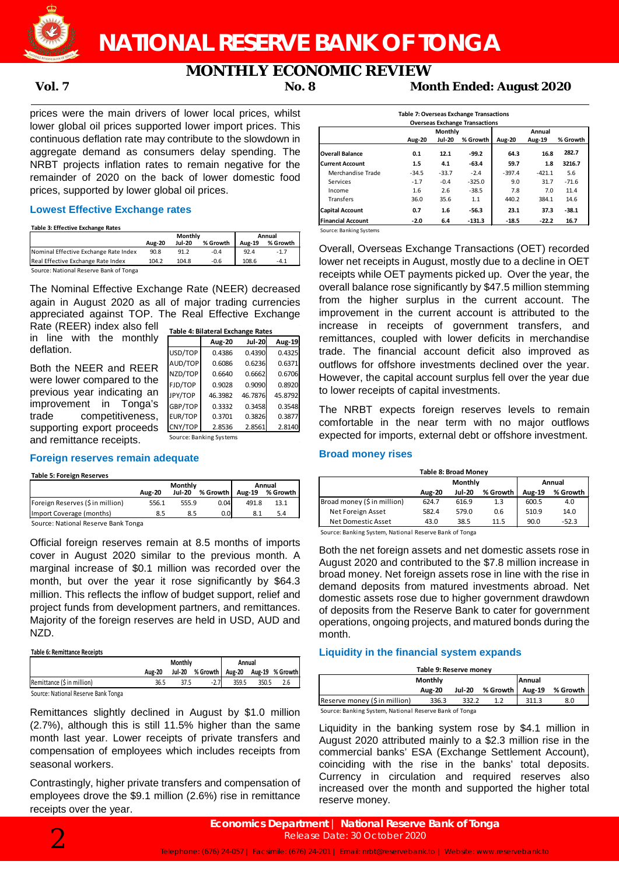

# **NATIONAL RESERVE BANK OF TONGA**

# **MONTHLY ECONOMIC REVIEW**

**Vol. 7 No. 8 Month Ended: August 2020**

prices were the main drivers of lower local prices, whilst lower global oil prices supported lower import prices. This continuous deflation rate may contribute to the slowdown in aggregate demand as consumers delay spending. The NRBT projects inflation rates to remain negative for the remainder of 2020 on the back of lower domestic food prices, supported by lower global oil prices.

# **Lowest Effective Exchange rates**

**Table 3: Effective Exchange Rates**

|                                        | Monthly       |               |          | Annual        |          |  |
|----------------------------------------|---------------|---------------|----------|---------------|----------|--|
|                                        | <b>Aug-20</b> | <b>Jul-20</b> | % Growth | <b>Aug-19</b> | % Growth |  |
| Nominal Effective Exchange Rate Index  | 90.8          | 91.2          | $-0.4$   | 92.4          | $-1.7$   |  |
| Real Effective Exchange Rate Index     | 104.2         | 104.8         | $-0.6$   | 108.6         | $-4.1$   |  |
| Source: National Reserve Bank of Tonga |               |               |          |               |          |  |

The Nominal Effective Exchange Rate (NEER) decreased again in August 2020 as all of major trading currencies appreciated against TOP. The Real Effective Exchange

**Table 4: Bilateral Exchange Rates**

USD/TOP 0.4386 0.4390 0.4325

**Aug-20 Jul-20 Aug-19**

0.6086 0.6236 0.6371  $0.6640$   $0.6662$  0.6706 FJD/TOP 0.9028 0.9090 0.8920 46.3982 46.7876 45.8792 GBP/TOP 0.3332 0.3458 0.3548 0.3701 0.3826 0.3877<br>2.8536 2.8561 2.8140

Rate (REER) index also fell in line with the monthly deflation.

| Both the NEER and REER      | AUD/TOP | 0.6086                  |
|-----------------------------|---------|-------------------------|
|                             | NZD/TOP | 0.6640                  |
| were lower compared to the  | FJD/TOP | 0.9028                  |
| previous year indicating an | JPY/TOP | 46.3982                 |
| improvement in Tonga's      | GBP/TOP | 0.3332                  |
| trade competitiveness,      | EUR/TOP | 0.3701                  |
| supporting export proceeds  | CNY/TOP | 2.8536                  |
| and remittance receipts.    |         | Source: Banking Systems |

## **Foreign reserves remain adequate**

#### **Table 5: Foreign Reserves**

|                                     |               | Monthly       | Annual   |               |          |
|-------------------------------------|---------------|---------------|----------|---------------|----------|
|                                     | <b>Aug-20</b> | <b>Jul-20</b> | % Growth | <b>Aug-19</b> | % Growth |
| Foreign Reserves (\$ in million)    | 556.1         | 555.9         | 0.04     | 491.8         | 13.1     |
| Import Coverage (months)            | 8.5           | 8.5           | 0.0      |               | 5.4      |
| Source: National Reserve Bank Tonga |               |               |          |               |          |

Source: National Reserve Bank Tonga

Official foreign reserves remain at 8.5 months of imports cover in August 2020 similar to the previous month. A marginal increase of \$0.1 million was recorded over the month, but over the year it rose significantly by \$64.3 million. This reflects the inflow of budget support, relief and project funds from development partners, and remittances. Majority of the foreign reserves are held in USD, AUD and NZD.

#### **Table 6: Remittance Receipts**

|                                     | Monthly       |  |                                          | Annual |       |  |
|-------------------------------------|---------------|--|------------------------------------------|--------|-------|--|
|                                     | <b>Aug-20</b> |  | Jul-20 % Growth   Aug-20 Aug-19 % Growth |        |       |  |
| Remittance (\$ in million)          | 36.5          |  | $-2.7$                                   | 359.5  | 350.5 |  |
| Course: National Pesania Pank Tonga |               |  |                                          |        |       |  |

Source: National Reserve Bank Tonga

Remittances slightly declined in August by \$1.0 million (2.7%), although this is still 11.5% higher than the same month last year. Lower receipts of private transfers and compensation of employees which includes receipts from seasonal workers.

Contrastingly, higher private transfers and compensation of employees drove the \$9.1 million (2.6%) rise in remittance receipts over the year.

| <b>Overseas Exchange Transactions</b> |                  |               |          |          |          |          |  |  |
|---------------------------------------|------------------|---------------|----------|----------|----------|----------|--|--|
|                                       | Monthly          |               |          |          | Annual   |          |  |  |
|                                       | <b>Aug-20</b>    | <b>Jul-20</b> | % Growth | Aug-20   | Aug-19   | % Growth |  |  |
| <b>Overall Balance</b>                | 0.1              | 12.1          | -99.2    | 64.3     | 16.8     | 282.7    |  |  |
| <b>Current Account</b>                | $1.5\phantom{0}$ | 4.1           | $-63.4$  | 59.7     | 1.8      | 3216.7   |  |  |
| Merchandise Trade                     | $-34.5$          | $-33.7$       | $-2.4$   | $-397.4$ | $-421.1$ | 5.6      |  |  |
| Services                              | $-1.7$           | $-0.4$        | $-325.0$ | 9.0      | 31.7     | $-71.6$  |  |  |
| Income                                | 1.6              | 2.6           | $-38.5$  | 7.8      | 7.0      | 11.4     |  |  |
| <b>Transfers</b>                      | 36.0             | 35.6          | 1.1      | 440.2    | 384.1    | 14.6     |  |  |
| <b>Capital Account</b>                | 0.7              | $1.6\,$       | -56.3    | 23.1     | 37.3     | $-38.1$  |  |  |
| <b>Financial Account</b>              | -2.0             | 6.4           | $-131.3$ | $-18.5$  | $-22.2$  | 16.7     |  |  |

Overall, Overseas Exchange Transactions (OET) recorded lower net receipts in August, mostly due to a decline in OET receipts while OET payments picked up. Over the year, the overall balance rose significantly by \$47.5 million stemming from the higher surplus in the current account. The improvement in the current account is attributed to the increase in receipts of government transfers, and remittances, coupled with lower deficits in merchandise trade. The financial account deficit also improved as outflows for offshore investments declined over the year. However, the capital account surplus fell over the year due to lower receipts of capital investments.

The NRBT expects foreign reserves levels to remain comfortable in the near term with no major outflows expected for imports, external debt or offshore investment.

# **Broad money rises**

| <b>Table 8: Broad Monev</b> |               |               |          |               |          |  |  |
|-----------------------------|---------------|---------------|----------|---------------|----------|--|--|
|                             |               | Monthly       | Annual   |               |          |  |  |
|                             | <b>Aug-20</b> | <b>Jul-20</b> | % Growth | <b>Aug-19</b> | % Growth |  |  |
| Broad money (\$ in million) | 624.7         | 616.9         | 1.3      | 600.5         | 4.0      |  |  |
| Net Foreign Asset           | 582.4         | 579.0         | 0.6      | 510.9         | 14.0     |  |  |
| Net Domestic Asset          | 43.0          | 38.5          | 11.5     | 90.0          | $-52.3$  |  |  |

Source: Banking System, National Reserve Bank of Tonga

Both the net foreign assets and net domestic assets rose in August 2020 and contributed to the \$7.8 million increase in broad money. Net foreign assets rose in line with the rise in demand deposits from matured investments abroad. Net domestic assets rose due to higher government drawdown of deposits from the Reserve Bank to cater for government operations, ongoing projects, and matured bonds during the month.

# **Liquidity in the financial system expands**

| Table 9: Reserve money                                 |               |               |          |        |          |  |  |  |
|--------------------------------------------------------|---------------|---------------|----------|--------|----------|--|--|--|
| Monthly<br>Annual                                      |               |               |          |        |          |  |  |  |
|                                                        | <b>Aug-20</b> | <b>Jul-20</b> | % Growth | Aug-19 | % Growth |  |  |  |
| Reserve money (\$ in million)                          | 336.3         | 332.2         | 1.2      | 311.3  | 8.0      |  |  |  |
| Source: Banking System, National Reserve Bank of Tonga |               |               |          |        |          |  |  |  |

Liquidity in the banking system rose by \$4.1 million in August 2020 attributed mainly to a \$2.3 million rise in the commercial banks' ESA (Exchange Settlement Account), coinciding with the rise in the banks' total deposits. Currency in circulation and required reserves also increased over the month and supported the higher total reserve money.